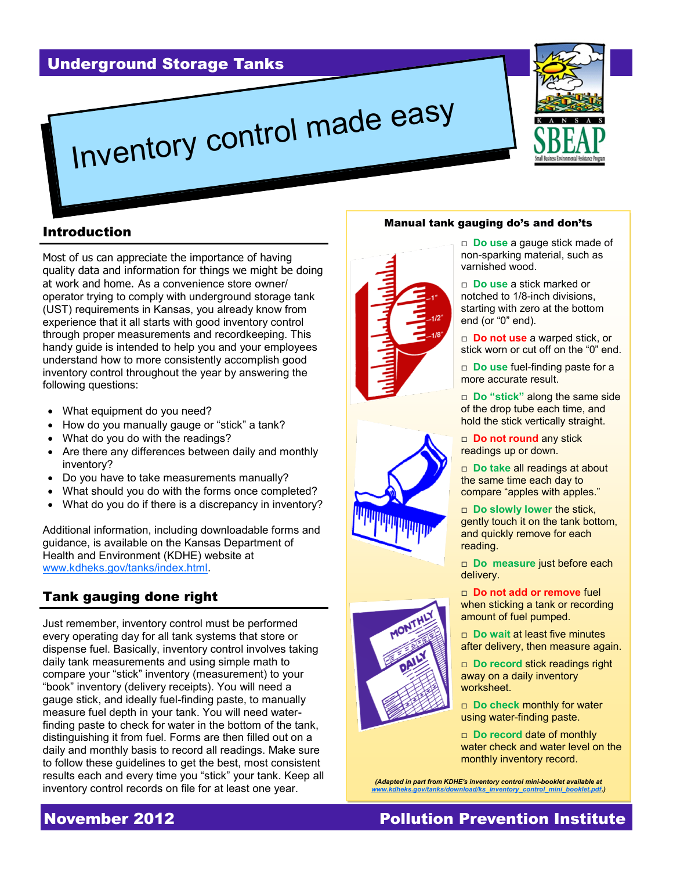



## Introduction

Most of us can appreciate the importance of having quality data and information for things we might be doing at work and home. As a convenience store owner/ operator trying to comply with underground storage tank (UST) requirements in Kansas, you already know from experience that it all starts with good inventory control through proper measurements and recordkeeping. This handy guide is intended to help you and your employees understand how to more consistently accomplish good inventory control throughout the year by answering the following questions:

- What equipment do you need?
- How do you manually gauge or "stick" a tank?
- What do you do with the readings?
- Are there any differences between daily and monthly inventory?
- Do you have to take measurements manually?
- What should you do with the forms once completed?
- What do you do if there is a discrepancy in inventory?

Additional information, including downloadable forms and guidance, is available on the Kansas Department of Health and Environment (KDHE) website at [www.kdheks.gov/tanks/index.html.](http://www.kdheks.gov/tanks/index.html)

## Tank gauging done right

Just remember, inventory control must be performed every operating day for all tank systems that store or dispense fuel. Basically, inventory control involves taking daily tank measurements and using simple math to compare your "stick" inventory (measurement) to your "book" inventory (delivery receipts). You will need a gauge stick, and ideally fuel-finding paste, to manually measure fuel depth in your tank. You will need waterfinding paste to check for water in the bottom of the tank, distinguishing it from fuel. Forms are then filled out on a daily and monthly basis to record all readings. Make sure to follow these guidelines to get the best, most consistent results each and every time you "stick" your tank. Keep all inventory control records on file for at least one year.

#### Manual tank gauging do's and don'ts







□ **Do use** a gauge stick made of non-sparking material, such as varnished wood.

□ **Do use** a stick marked or notched to 1/8-inch divisions, starting with zero at the bottom end (or "0" end).

□ **Do not use** a warped stick, or stick worn or cut off on the "0" end.

□ **Do use** fuel-finding paste for a more accurate result.

□ **Do "stick"** along the same side of the drop tube each time, and hold the stick vertically straight.

□ **Do not round** any stick readings up or down.

□ **Do take** all readings at about the same time each day to compare "apples with apples."

□ **Do slowly lower** the stick, gently touch it on the tank bottom, and quickly remove for each reading.

□ **Do measure** just before each delivery.

□ **Do not add or remove** fuel when sticking a tank or recording amount of fuel pumped.

□ **Do wait** at least five minutes after delivery, then measure again.

□ **Do record stick readings right** away on a daily inventory worksheet.

□ **Do check** monthly for water using water-finding paste.

□ **Do record date of monthly** water check and water level on the monthly inventory record.

*(Adapted in part from KDHE's inventory control mini-booklet available at [www.kdheks.gov/tanks/download/ks\\_inventory\\_control\\_mini\\_booklet.pdf.](http://www.kdheks.gov/tanks/download/ks_inventory_control_mini_booklet.pdf))*

# **November 2012 Pollution Prevention Institute**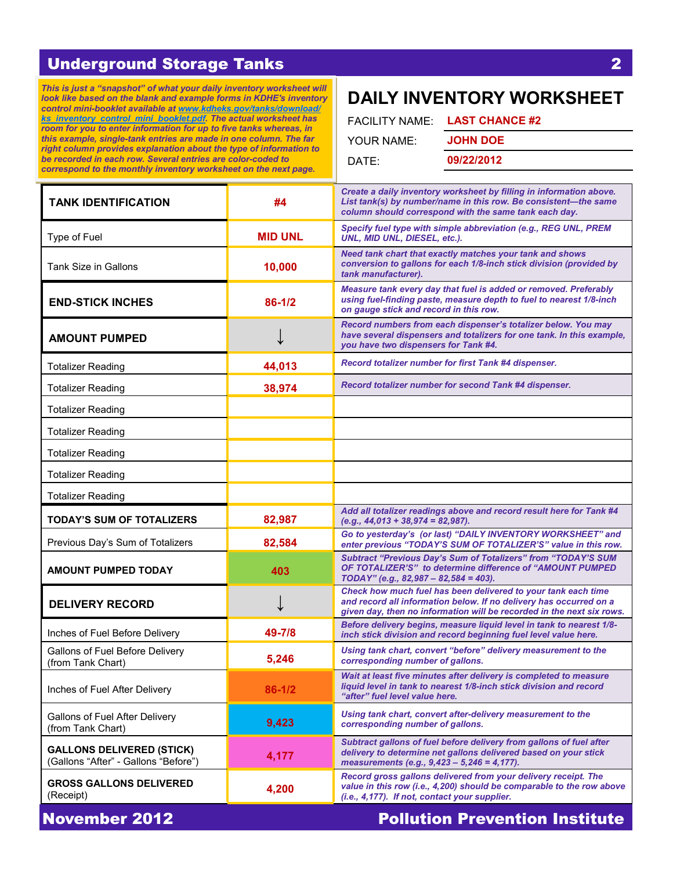*This is just a "snapshot" of what your daily inventory worksheet will look like based on the blank and example forms in KDHE's inventory control mini-booklet available at [www.kdheks.gov/tanks/download/](http://www.kdheks.gov/tanks/download/ks_inventory_control_mini_booklet.pdf) [ks\\_inventory\\_control\\_mini\\_booklet.pdf.](http://www.kdheks.gov/tanks/download/ks_inventory_control_mini_booklet.pdf) The actual worksheet has room for you to enter information for up to five tanks whereas, in this example, single-tank entries are made in one column. The far right column provides explanation about the type of information to be recorded in each row. Several entries are color-coded to correspond to the monthly inventory worksheet on the next page.* 

# **DAILY INVENTORY WORKSHEET**

| FACILITY NAME: LAST CHANCE #2 |
|-------------------------------|
| <b>JOHN DOE</b>               |
| 09/22/2012                    |
|                               |

| <b>TANK IDENTIFICATION</b>                                               | #4             | Create a daily inventory worksheet by filling in information above.<br>List tank(s) by number/name in this row. Be consistent-the same<br>column should correspond with the same tank each day.              |
|--------------------------------------------------------------------------|----------------|--------------------------------------------------------------------------------------------------------------------------------------------------------------------------------------------------------------|
| Type of Fuel                                                             | <b>MID UNL</b> | Specify fuel type with simple abbreviation (e.g., REG UNL, PREM<br>UNL, MID UNL, DIESEL, etc.).                                                                                                              |
| <b>Tank Size in Gallons</b>                                              | 10,000         | Need tank chart that exactly matches your tank and shows<br>conversion to gallons for each 1/8-inch stick division (provided by<br>tank manufacturer).                                                       |
| <b>END-STICK INCHES</b>                                                  | 86-1/2         | Measure tank every day that fuel is added or removed. Preferably<br>using fuel-finding paste, measure depth to fuel to nearest 1/8-inch<br>on gauge stick and record in this row.                            |
| <b>AMOUNT PUMPED</b>                                                     |                | Record numbers from each dispenser's totalizer below. You may<br>have several dispensers and totalizers for one tank. In this example,<br>you have two dispensers for Tank #4.                               |
| <b>Totalizer Reading</b>                                                 | 44,013         | Record totalizer number for first Tank #4 dispenser.                                                                                                                                                         |
| <b>Totalizer Reading</b>                                                 | 38,974         | Record totalizer number for second Tank #4 dispenser.                                                                                                                                                        |
| <b>Totalizer Reading</b>                                                 |                |                                                                                                                                                                                                              |
| <b>Totalizer Reading</b>                                                 |                |                                                                                                                                                                                                              |
| <b>Totalizer Reading</b>                                                 |                |                                                                                                                                                                                                              |
| <b>Totalizer Reading</b>                                                 |                |                                                                                                                                                                                                              |
| <b>Totalizer Reading</b>                                                 |                |                                                                                                                                                                                                              |
| <b>TODAY'S SUM OF TOTALIZERS</b>                                         | 82,987         | Add all totalizer readings above and record result here for Tank #4<br>$(e.g., 44,013 + 38,974 = 82,987).$                                                                                                   |
| Previous Day's Sum of Totalizers                                         | 82,584         | Go to yesterday's (or last) "DAILY INVENTORY WORKSHEET" and<br>enter previous "TODAY'S SUM OF TOTALIZER'S" value in this row.                                                                                |
| <b>AMOUNT PUMPED TODAY</b>                                               | 403            | <b>Subtract "Previous Day's Sum of Totalizers" from "TODAY'S SUM</b><br>OF TOTALIZER'S" to determine difference of "AMOUNT PUMPED<br>TODAY" (e.g., 82,987 - 82,584 = 403).                                   |
| <b>DELIVERY RECORD</b>                                                   |                | Check how much fuel has been delivered to your tank each time<br>and record all information below. If no delivery has occurred on a<br>given day, then no information will be recorded in the next six rows. |
| Inches of Fuel Before Delivery                                           |                |                                                                                                                                                                                                              |
|                                                                          | 49-7/8         | Before delivery begins, measure liquid level in tank to nearest 1/8-<br>inch stick division and record beginning fuel level value here.                                                                      |
| Gallons of Fuel Before Delivery<br>(from Tank Chart)                     | 5,246          | Using tank chart, convert "before" delivery measurement to the<br>corresponding number of gallons.                                                                                                           |
| Inches of Fuel After Delivery                                            | $86 - 1/2$     | Wait at least five minutes after delivery is completed to measure<br>liquid level in tank to nearest 1/8-inch stick division and record<br>"after" fuel level value here.                                    |
| Gallons of Fuel After Delivery<br>(from Tank Chart)                      | 9,423          | Using tank chart, convert after-delivery measurement to the<br>corresponding number of gallons.                                                                                                              |
| <b>GALLONS DELIVERED (STICK)</b><br>(Gallons "After" - Gallons "Before") | 4,177          | Subtract gallons of fuel before delivery from gallons of fuel after<br>delivery to determine net gallons delivered based on your stick<br>measurements (e.g., 9,423 - 5,246 = 4,177).                        |
| <b>GROSS GALLONS DELIVERED</b><br>(Receipt)                              | 4,200          | Record gross gallons delivered from your delivery receipt. The<br>value in this row (i.e., 4,200) should be comparable to the row above<br>(i.e., 4,177). If not, contact your supplier.                     |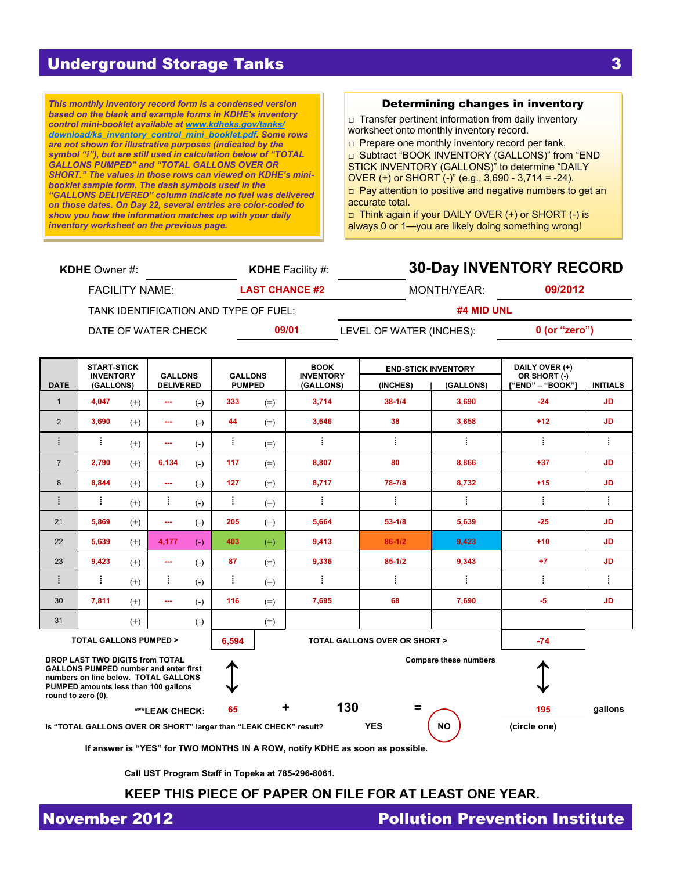*This monthly inventory record form is a condensed version based on the blank and example forms in KDHE's inventory control mini-booklet available at [www.kdheks.gov/tanks/](http://www.kdheks.gov/tanks/download/ks_inventory_control_mini_booklet.pdf) [download/ks\\_inventory\\_control\\_mini\\_booklet.pdf.](http://www.kdheks.gov/tanks/download/ks_inventory_control_mini_booklet.pdf) Some rows are not shown for illustrative purposes (indicated by the symbol "⁞"), but are still used in calculation below of "TOTAL GALLONS PUMPED" and "TOTAL GALLONS OVER OR SHORT." The values in those rows can viewed on KDHE's minibooklet sample form. The dash symbols used in the "GALLONS DELIVERED" column indicate no fuel was delivered on those dates. On Day 22, several entries are color-coded to show you how the information matches up with your daily inventory worksheet on the previous page.*

#### Determining changes in inventory

□ Transfer pertinent information from daily inventory worksheet onto monthly inventory record.

□ Prepare one monthly inventory record per tank.

□ Subtract "BOOK INVENTORY (GALLONS)" from "END STICK INVENTORY (GALLONS)" to determine "DAILY OVER (+) or SHORT (-)" (e.g., 3,690 - 3,714 = -24).  $\Box$  Pay attention to positive and negative numbers to get an accurate total.

□ Think again if your DAILY OVER (+) or SHORT (-) is always 0 or 1—you are likely doing something wrong!

| <b>KDHE</b> Owner $#$ :               | <b>KDHE</b> Facility #: | <b>30-Day INVENTORY RECORD</b> |                 |  |  |
|---------------------------------------|-------------------------|--------------------------------|-----------------|--|--|
| <b>FACILITY NAME:</b>                 | <b>LAST CHANCE #2</b>   | MONTH/YEAR:                    | 09/2012         |  |  |
| TANK IDENTIFICATION AND TYPE OF FUEL: |                         | #4 MID UNL                     |                 |  |  |
| DATE OF WATER CHECK                   | 09/01                   | LEVEL OF WATER (INCHES):       | $0$ (or "zero") |  |  |

|                                                                                                                                                                                       | <b>START-STICK</b><br><b>INVENTORY</b><br>(GALLONS) |          |                                    |                        | <b>GALLONS</b> |       | <b>BOOK</b><br><b>INVENTORY</b> |            | <b>END-STICK INVENTORY</b> | DAILY OVER (+)<br>OR SHORT (-) |                 |
|---------------------------------------------------------------------------------------------------------------------------------------------------------------------------------------|-----------------------------------------------------|----------|------------------------------------|------------------------|----------------|-------|---------------------------------|------------|----------------------------|--------------------------------|-----------------|
| <b>DATE</b>                                                                                                                                                                           |                                                     |          | <b>GALLONS</b><br><b>DELIVERED</b> |                        | <b>PUMPED</b>  |       | (GALLONS)                       | (INCHES)   | (GALLONS)                  | ["END" – "BOOK"]               | <b>INITIALS</b> |
| $\mathbf{1}$                                                                                                                                                                          | 4,047                                               | $(+)$    | ---                                | $(-)$                  | 333            | $(=)$ | 3,714                           | $38 - 1/4$ | 3,690                      | $-24$                          | JD.             |
| 2                                                                                                                                                                                     | 3,690                                               | $(+)$    | ---                                | $(-)$                  | 44             | $(=)$ | 3,646                           | 38         | 3,658                      | $+12$                          | JD.             |
| i                                                                                                                                                                                     | ŧ                                                   | $^{(+)}$ | ---                                | $(-)$                  | ŧ              | $(=)$ | ÷                               | ŧ          | ŧ                          | ŧ                              | ÷               |
| $\overline{7}$                                                                                                                                                                        | 2,790                                               | $(+)$    | 6,134                              | $(-)$                  | 117            | $(=)$ | 8.807                           | 80         | 8.866                      | $+37$                          | <b>JD</b>       |
| 8                                                                                                                                                                                     | 8,844                                               | $^{(+)}$ | ---                                | $(-)$                  | 127            | $(=)$ | 8,717                           | 78-7/8     | 8,732                      | $+15$                          | <b>JD</b>       |
| i                                                                                                                                                                                     | ŧ                                                   | $^{(+)}$ | ŧ                                  | $\left( -\right)$      | ŧ.             | $(=)$ | ÷                               | ŧ          | ŧ                          | ŧ                              | ŧ               |
| 21                                                                                                                                                                                    | 5,869                                               | $^{(+)}$ | ---                                | $(-)$                  | 205            | $(=)$ | 5,664                           | $53 - 1/8$ | 5,639                      | $-25$                          | JD.             |
| 22                                                                                                                                                                                    | 5,639                                               | $(+)$    | 4,177                              | $\left( -\right)$      | 403            | $(=)$ | 9,413                           | $86-1/2$   | 9,423                      | $+10$                          | JD.             |
| 23                                                                                                                                                                                    | 9,423                                               | $(+)$    | ---                                | $(-)$                  | 87             | $(=)$ | 9,336                           | $85 - 1/2$ | 9,343                      | $+7$                           | JD.             |
| ÷                                                                                                                                                                                     |                                                     | $(+)$    | ŧ.                                 | $\left( -\right)$      | ŧ.             | $(=)$ | ÷                               |            | ŧ                          | ŧ                              | İ               |
| 30                                                                                                                                                                                    | 7,811                                               | $^{(+)}$ | ---                                | $(-)$                  | 116            | $(=)$ | 7,695                           | 68         | 7,690                      | $-5$                           | <b>JD</b>       |
| 31                                                                                                                                                                                    |                                                     | $^{(+)}$ |                                    | $\left( \cdot \right)$ |                | $(=)$ |                                 |            |                            |                                |                 |
| <b>TOTAL GALLONS OVER OR SHORT &gt;</b><br><b>TOTAL GALLONS PUMPED &gt;</b><br>6,594                                                                                                  |                                                     |          |                                    |                        |                | $-74$ |                                 |            |                            |                                |                 |
| DROP LAST TWO DIGITS from TOTAL<br><b>GALLONS PUMPED number and enter first</b><br>numbers on line below. TOTAL GALLONS<br>PUMPED amounts less than 100 gallons<br>round to zero (0). |                                                     |          |                                    |                        |                |       | <b>Compare these numbers</b>    |            |                            |                                |                 |
|                                                                                                                                                                                       |                                                     |          | ***LEAK CHECK:                     |                        | 65             |       | 130<br>٠                        | $\equiv$   |                            | 195                            | gallons         |

**Is "TOTAL GALLONS OVER OR SHORT" larger than "LEAK CHECK" result? YES NO (circle one)**

**If answer is "YES" for TWO MONTHS IN A ROW, notify KDHE as soon as possible.**

**Call UST Program Staff in Topeka at 785-296-8061.**

#### **KEEP THIS PIECE OF PAPER ON FILE FOR AT LEAST ONE YEAR.**